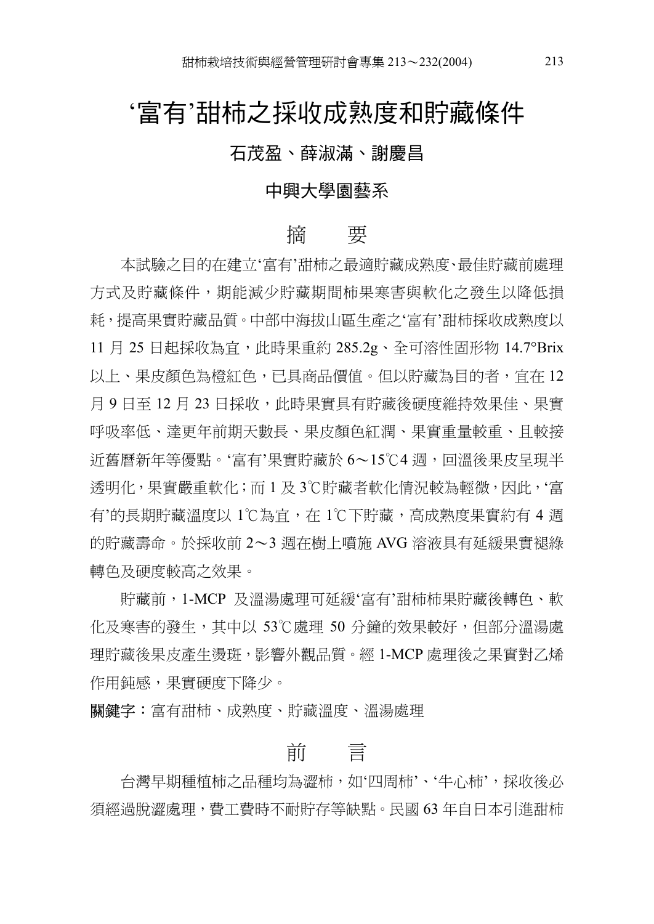## '富有'甜柿之採收成熟度和貯藏條件

#### 石茂盈、薛淑滿、謝慶昌

#### 中興大學園藝系

#### 摘 要

本試驗之目的在建立'富㈲'甜柿之最㊜貯藏成熟度、最佳貯藏前處理 方式及貯藏條件,期能減少貯藏期間柿果寒害與軟化之發生以降低損 耗, 提高果實貯藏品質。中部中海拔山區生產之'富有'甜柿採收成熟度以 11 月 25 日起採收為官,此時果重約 285.2g、全可溶性固形物 14.7°Brix 以上、果皮顏色為橙紅色,已具商品價值。但以貯藏為目的者,宜在 12 月9日至12 月 23 日採收,此時果實具有貯藏後硬度維持效果佳、果實 呼吸率低、達更年前期天數長、果皮顏色紅潤、果實重量較重、目較接 近舊曆新年等優點。'富有'果實貯藏於 6〜15℃4 週,回溫後果皮呈現半 透明化,果實嚴重軟化;而 1 及 3℃貯藏者軟化情況較為輕微,因此,'富 有'的長期貯藏溫度以 1℃為宜,在 1℃下貯藏,高成熟度果實約有 4 週 的貯藏壽命。於採收前 2〜3 週在樹上噴施 AVG 溶液具有延緩果實褪綠 轉色及硬度較高之效果。

貯藏前,1-MCP 及溫湯處理可延緩'富㈲'甜柿柿果貯藏後轉色、軟 化及寒害的發生,其中以 53℃處理 50 分鐘的效果較好,但部分溫湯處 理貯藏後果皮產生湯斑,影響外觀品質。 經 1-MCP 處理後之果實對乙烯 作用鈍感,果實硬度下降少。

**關鍵字:**富有甜柿、成熟度、貯藏溫度、溫湯處理

## 前 言

台灣早期種植柿之品種均為澀柿,如'四周柿'、'牛心柿',採收後必 須經過脫澀處理,費工費時不耐貯存等缺點。民國 63 年自日本引進甜柿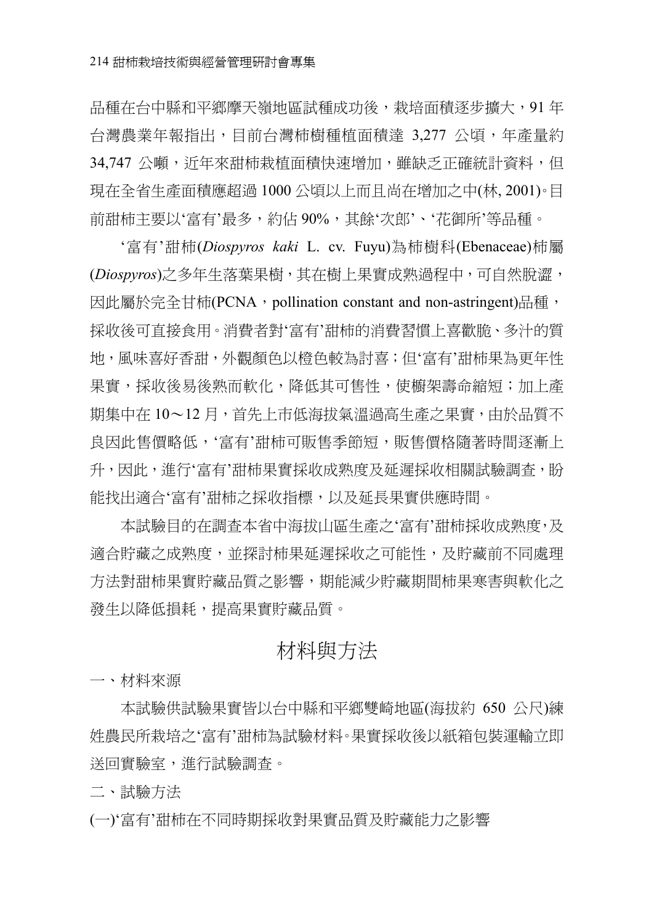品種在台中縣和平鄉摩天嶺地區試種成功後,栽培面積逐步擴大,91 年 台灣農業年報指出,目前台灣柿樹種植面積達 3,277 公頃,年產量約 34,747 公噸,近年來甜柿栽植面積快速增加,雖缺乏正確統計資料,但 現在全省生產面積應超過 1000 公頃以上而且尚在增加之中(林, 2001)。目 前甜柿主要以'富有'最多,約佔 90%,其餘'次郎'、'花御所'等品種。

'富㈲'甜柿(*Diospyros kaki* L. cv. Fuyu)為柿樹科(Ebenaceae)柿屬 (Diospyros)之多年生落葉果樹,其在樹上果實成熟過程中,可自然脫澀, 因此屬於完全甘柿(PCNA, pollination constant and non-astringent)品種, 採收後可直接食用。消費者對'富有'甜柿的消費習慣上喜歡脆、多汁的質 ㆞,風味喜好香甜,外觀顏色以橙色較為討喜;但'富㈲'甜柿果為更年性 果實,採收後易後熟而軟化,降低其可售性,使櫥架壽命縮短;加上產 期集中在 10〜12 月,首先上市低海拔氣溫過高生產之果實,由於品質不 良因此售價略低,'富有'甜柿可販售季節短,販售價格隨著時間逐漸上 升,因此,淮行'富有'甜柿果實採收成熟度及延遲採收相關試驗調杳,盼 能找出適合'富有'甜柿之採收指標,以及延長果實供應時間。

本試驗目的在調查本省中海拔山區生產之'富有'甜柿採收成熟度,及 適合貯藏之成熟度,並探討柿果延遲採收之可能性,及貯藏前不同處理 方法對甜柿果實貯藏品質之影響,期能減少貯藏期間柿果寒害與軟化之 發生以降低損耗,提高果實貯藏品質。

### 材料與方法

㆒、材料來源

本試驗供試驗果實皆以台中縣和平鄉雙崎地區(海拔約 650 公尺)練 姓農民所栽培之'富㈲'甜柿為試驗材料。果實採收後以紙箱包裝運輸立即 送回實驗室,進行試驗調查。

二、試驗方法

(㆒)'富㈲'甜柿在不同時期採收對果實品質及貯藏能力之影響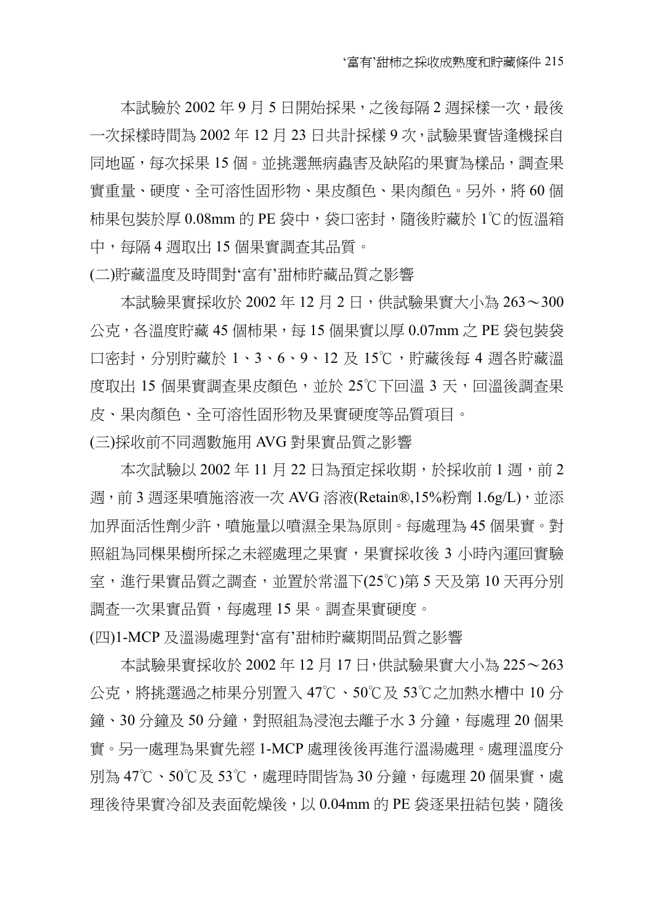本試驗於 2002年9月5日開始採果,之後每隔2週採樣一次,最後 一次採樣時間為 2002 年 12 月 23 日共計採樣 9 次,試驗果實皆逢機採自 同地區,每次採果 15 個。並挑選無病蟲害及缺陷的果實為樣品,調查果 實重量、硬度、全可溶性固形物、果皮顏色、果肉顏色。另外,將 60 個 柿果包裝於厚 0.08mm 的 PE 袋中,袋口密封,隨後貯藏於 1℃的恆溫箱 ㆗,每隔 4 週取出 15 個果實調查其品質。

(㆓)貯藏溫度及時間對'富㈲'甜柿貯藏品質之影響

本試驗果實採收於 2002 年 12 ㈪ 2 ㈰,供試驗果實大小為 263〜300  $\triangle$ 克, 各溫度貯藏 45 個柿果, 每 15 個果實以厚 0.07mm 之 PE 袋包裝袋 口密封,分別貯藏於 1、3、6、9、12 及 15℃,貯藏後每 4 週各貯藏溫 度取出 15 個果實調查果皮顏色,並於 25℃下回溫 3 天,回溫後調查果 皮、果肉顏色、全可溶性固形物及果實硬度等品質項目。

(㆔)採收前不同週數施用 AVG 對果實品質之影響

本次試驗以 2002年 11月 22 日為預定採收期,於採收前 1 週,前 2 週,前 3 週逐果噴施溶液㆒次 AVG 溶液(Retain®,15%粉劑 1.6g/L),並添 加界面活性劑少許,噴施量以噴濕全果為原則。每處理為 45 個果實。對 照組為同棵果樹所採之未經處理之果實,果實採收後 3 小時內運回實驗 室,進行果實品質之調查,並置於常溫下(25℃)第 5 天及第 10 天再分別 調查一次果實品質,每處理 15 果。調查果實硬度。

(㆕)1-MCP 及溫湯處理對'富㈲'甜柿貯藏期間品質之影響

本試驗果實採收於 2002 年 12 月 17 日,供試驗果實大小為 225〜263 公克,將挑選過之柿果分別置入 47℃、50℃及 53℃之加熱水槽中 10 分 鐘、30 分鐘及 50 分鐘,對照組為浸泡夫離子水 3 分鐘,每處理 20 個果 實。另㆒處理為果實先經 1-MCP 處理後後再進行溫湯處理。處理溫度分 別為 47℃、50℃及 53℃,處理時間皆為 30 分鐘,每處理 20 個果實,處 理後待果實冷卻及表面乾燥後,以 0.04mm 的 PE 袋逐果扭結包裝,隨後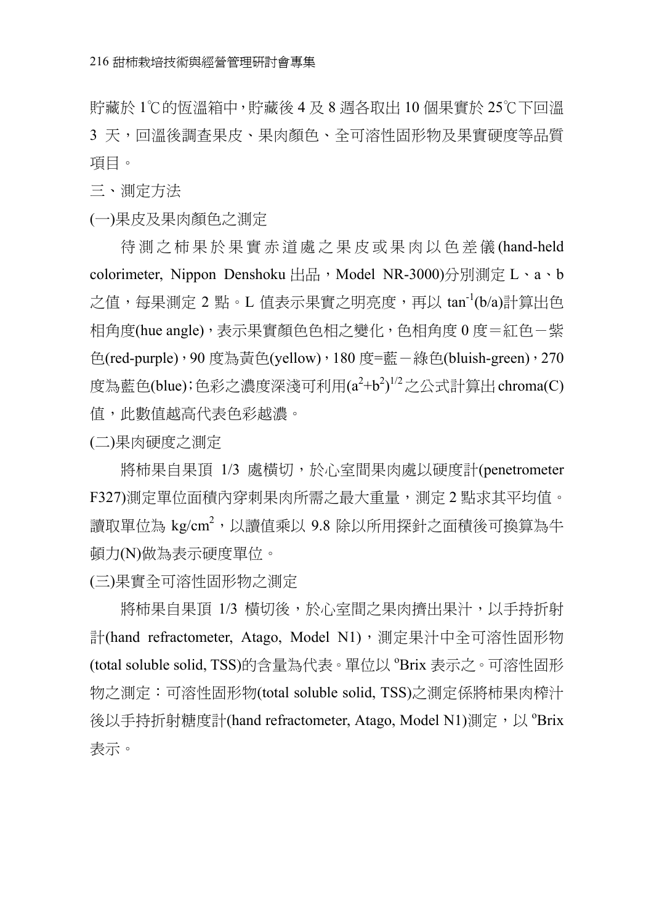貯藏於 1℃的恆溫箱中,貯藏後 4 及 8 週各取出 10 個果實於 25℃下回溫 3 天,回溫後調查果皮、果肉顏色、全可溶性固形物及果實硬度等品質 項目。

三、測定方法

(㆒)果皮及果肉顏色之測定

待測之柿果於果實赤道處之果皮或果肉以色差儀 (hand-held colorimeter, Nippon Denshoku 出品, Model NR-3000)分別測定 L、a、b 之值,每果測定 2 點。L 值表示果實之明亮度,再以 tan<sup>-1</sup>(b/a)計算出色 相角度(hue angle),表示果實顏色色相之變化,色相角度 0 度=紅色-紫 色(red-purple),90 度為黃色(yellow),180 度=藍-綠色(bluish-green),270 度為藍色(blue);色彩之濃度深淺可利用(a<sup>2</sup>+b<sup>2</sup>)<sup>1/2</sup>之公式計算出 chroma(C) 值,此數值越高代表色彩越濃。

(㆓)果肉硬度之測定

將柿果自果頂 1/3 處橫切,於心室間果肉處以硬度計(penetrometer F327)測定單位面積內穿刺果肉所需之最大重量,測定 2 點求其平均值。 讀取單位為 kg/cm<sup>2</sup>,以讀值乘以 9.8 除以所用探針之面積後可換算為牛 頓力(N)做為表示硬度單位。

(㆔)果實全可溶性固形物之測定

將柿果自果頂 1/3 橫切後,於心室間之果肉擠出果汁,以手持折射 計(hand refractometer, Atago, Model N1),測定果汁中全可溶性固形物 (total soluble solid, TSS)的含量為代表。單位以 °Brix 表示之。可溶性固形 物之測定:可溶性固形物(total soluble solid, TSS)之測定係將柿果肉榨汁 後以手持折射糖度計(hand refractometer, Atago, Model N1)測定,以 °Brix 表示。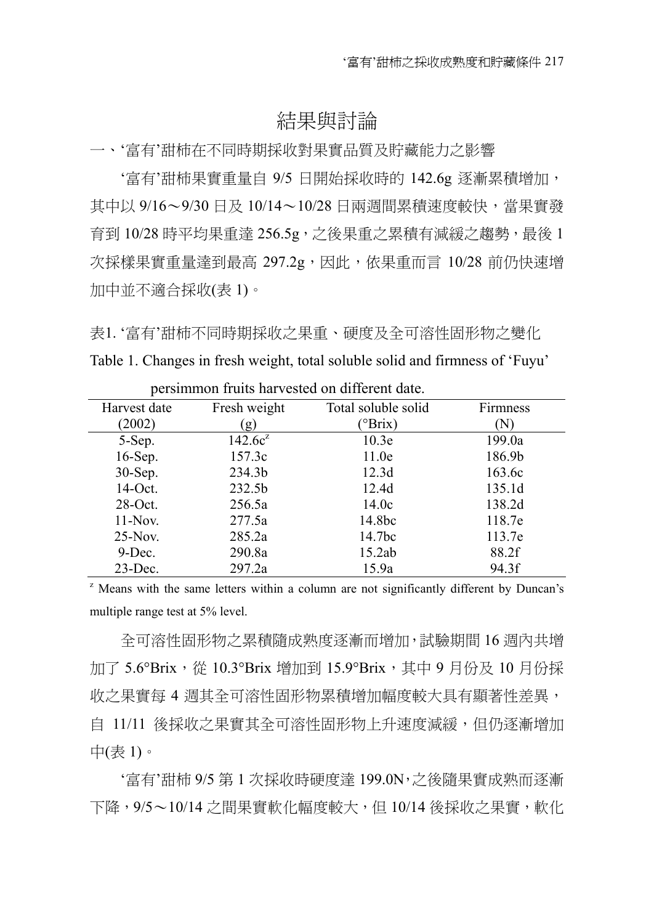#### 結果與討論

一、'富有'甜柿在不同時期採收對果實品質及貯藏能力之影響

'富有'甜柿果實重量自 9/5 日開始採收時的 142.6g 逐漸累積增加, 其中以 9/16~9/30 日及 10/14~10/28 日兩週間累積速度較快,當果實發 育到 10/28 時平均果重達 256.5g,之後果重之累積㈲減緩之趨勢,最後 1 次採樣果實重量達到最高 297.2g,因此, 依果重而言 10/28 前仍快速增 加中並不適合採收(表 1)。

表1. '富有'甜柿不同時期採收之果重、硬度及全可溶性固形物之變化 Table 1. Changes in fresh weight, total soluble solid and firmness of 'Fuyu'

| Harvest date | Fresh weight | Total soluble solid | Firmness |
|--------------|--------------|---------------------|----------|
| (2002)       | (g)          | $^{\circ}$ Brix)    | (N)      |
| 5-Sep.       | $142.6c^2$   | 10.3e               | 199.0a   |
| 16-Sep.      | 157.3c       | 11.0e               | 186.9b   |
| $30-Sep.$    | 234.3b       | 12.3d               | 163.6c   |
| 14-Oct.      | 232.5b       | 12.4d               | 135.1d   |
| $28$ -Oct.   | 256.5a       | 14.0c               | 138.2d   |
| $11-Nov$ .   | 277.5a       | 14.8bc              | 118.7e   |
| $25-Nov$ .   | 285.2a       | 14.7 <sub>bc</sub>  | 113.7e   |
| $9$ -Dec.    | 290.8a       | 15.2ab              | 88.2f    |
| $23$ -Dec.   | 297.2a       | 15.9a               | 94.3f    |

persimmon fruits harvested on different date.

<sup>z</sup> Means with the same letters within a column are not significantly different by Duncan's multiple range test at 5% level.

全可溶性固形物之累積隨成熟度逐漸而增加,試驗期間 16 週內共增 加了 5.6°Brix, 從 10.3°Brix 增加到 15.9°Brix, 其中 9 月份及 10 月份採 收之果實每 4 週其全可溶性固形物累積增加幅度較大具有顯著性差異, 自 11/11 後採收之果實其全可溶性固形物上升速度減緩,但仍逐漸增加 ㆗(表 1)。

'富㈲'甜柿 9/5 第 1 次採收時硬度達 199.0N,之後隨果實成熟而逐漸 ㆘降,9/5〜10/14 之間果實軟化幅度較大,但 10/14 後採收之果實,軟化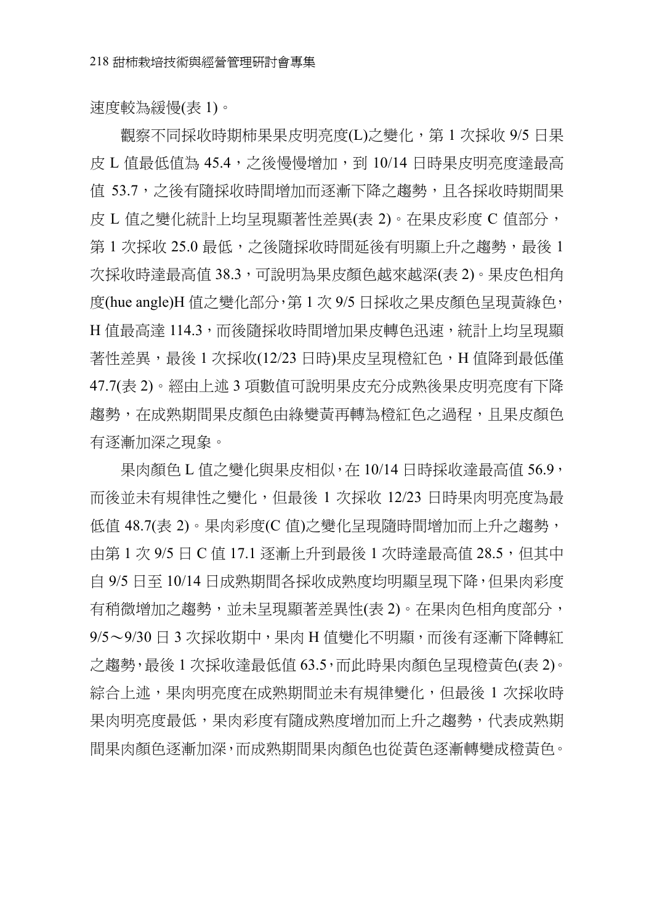速度較為緩慢(表 1)。

觀察不同採收時期柿果果皮明亮度(L)之變化,第 1 次採收 9/5 日果 皮 L 值最低值為 45.4,之後慢慢增加,到 10/14 日時果皮明亮度達最高 值 53.7,之後有隨採收時間增加而逐漸下降之趨勢,且各採收時期間果 皮 L 值之變化統計上均呈現顯著性差異(表 2)。在果皮彩度 C 值部分, 第 1 次採收 25.0 最低,之後隨採收時間延後有明顯上升之趨勢,最後 1 次採收時達最高值 38.3,可說明為果皮顏色越來越深(表 2)。果皮色相角 度(hue angle)H 值之變化部分,第1次 9/5 日採收之果皮顏色呈現黃綠色, H 值最高達 114.3,而後隨採收時間增加果皮轉色迅速,統計上均早現顯 著性差異,最後 1 次採收(12/23 日時)果皮呈現橙紅色,H 值降到最低僅 47.7(表 2)。經由上述 3 項數值可說明果皮充分成熟後果皮明亮度有下降 趨勢,在成熟期間果皮顏色由綠變黃再轉為橙紅色之過程,且果皮顏色 有逐漸加深之現象。

果肉顏色 L 值之變化與果皮相似, 在 10/14 日時採收達最高值 56.9, 而後並未有規律性之變化,但最後 1 次採收 12/23 日時果肉明亮度為最 低值 48.7(表 2)。果肉彩度(C 值)之變化呈現隨時間增加而上升之趨勢, 由第 1 次 9/5 日 C 值 17.1 涿漸上升到最後 1 次時達最高值 28.5, 但其中 自 9/5 日至 10/14 日成熟期間各採收成熟度均明顯呈現下降,但果肉彩度 有稍微增加之趨勢,並未呈現顯著差異性(表2)。在果肉色相角度部分, 9/5~9/30 日 3 次採收期中,果肉 H 值變化不明顯,而後有逐漸下降轉紅 之趨勢,最後 1 次採收達最低值 63.5,而此時果肉顏色呈現橙黃色(表 2)。 綜合上述,果肉明亮度在成熟期間並未有規律變化,但最後 1 次採收時 果肉明亮度最低,果肉彩度有隨成熟度增加而上升之趨勢,代表成熟期 間果肉顏色逐漸加深,而成熟期間果肉顏色也從黃色逐漸轉變成橙黃色。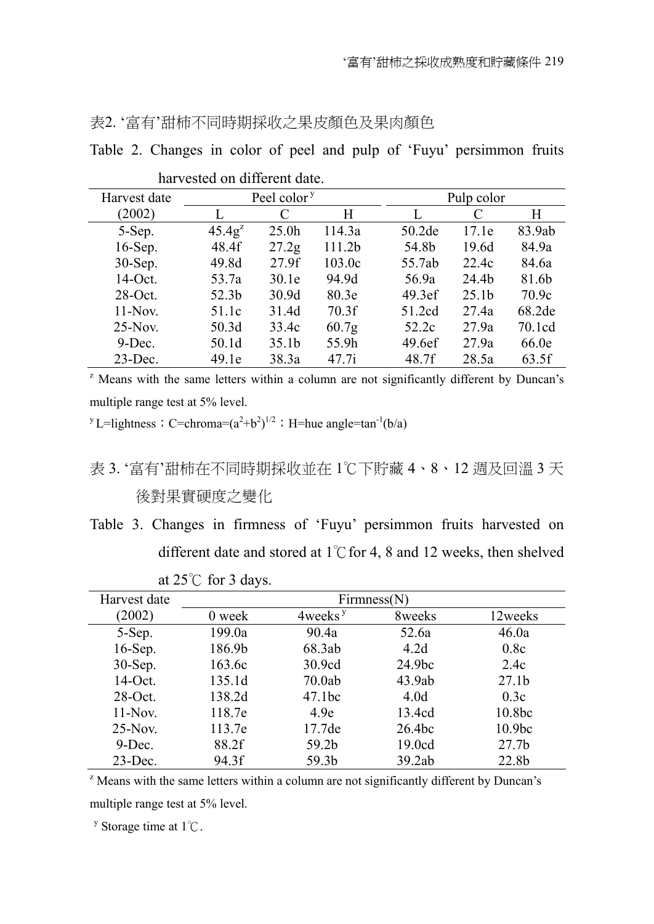|  | 表2. '富有'甜柿不同時期採收之果皮顏色及果肉顏色 |
|--|----------------------------|
|  |                            |

|  |  |  |  |  |  | Table 2. Changes in color of peel and pulp of 'Fuyu' persimmon fruits |  |
|--|--|--|--|--|--|-----------------------------------------------------------------------|--|

| Harvest date | Peel color <sup>y</sup> |                   |                   | Pulp color |                   |        |  |
|--------------|-------------------------|-------------------|-------------------|------------|-------------------|--------|--|
| (2002)       |                         | C                 | H                 |            | C                 | H      |  |
| 5-Sep.       | $45.4g^{2}$             | 25.0 <sub>h</sub> | 114.3a            | 50.2de     | 17.1e             | 83.9ab |  |
| 16-Sep.      | 48.4f                   | 27.2 <sub>g</sub> | 111.2b            | 54.8b      | 19.6d             | 84.9a  |  |
| 30-Sep.      | 49.8d                   | 27.9f             | 103.0c            | 55.7ab     | 22.4c             | 84.6a  |  |
| 14-Oct.      | 53.7a                   | 30.1e             | 94.9d             | 56.9a      | 24.4b             | 81.6b  |  |
| $28-Oct.$    | 52.3b                   | 30.9d             | 80.3 <sub>e</sub> | 49.3ef     | 25.1 <sub>b</sub> | 70.9c  |  |
| $11-Nov$ .   | 51.1c                   | 31.4d             | 70.3f             | 51.2cd     | 27.4a             | 68.2de |  |
| $25-Nov$ .   | 50.3d                   | 33.4c             | 60.7 <sub>g</sub> | 52.2c      | 27.9a             | 70.1cd |  |
| $9$ -Dec.    | 50.1d                   | 35.1b             | 55.9h             | 49.6ef     | 27.9a             | 66.0e  |  |
| $23$ -Dec.   | 49.1e                   | 38.3a             | 47.7i             | 48.7f      | 28.5a             | 63.5f  |  |

harvested on different date.

<sup>z</sup> Means with the same letters within a column are not significantly different by Duncan's multiple range test at 5% level.

<sup>y</sup>L=lightness; C=chroma= $(a^2+b^2)^{1/2}$ ; H=hue angle=tan<sup>-1</sup>(b/a)

## 表 3. '富有'甜柿在不同時期採收並在 1℃下貯藏 4、8、12 週及回溫 3 天 後對果實硬度之變化

Table 3. Changes in firmness of 'Fuyu' persimmon fruits harvested on different date and stored at  $1^{\circ}$ C for 4, 8 and 12 weeks, then shelved

| Harvest date |        |                     | Firmness(N)        |                   |
|--------------|--------|---------------------|--------------------|-------------------|
| (2002)       | 0 week | 4weeks <sup>y</sup> | 8weeks             | 12weeks           |
| 5-Sep.       | 199.0a | 90.4a               | 52.6a              | 46.0a             |
| $16$ -Sep.   | 186.9b | 68.3ab              | 4.2d               | 0.8c              |
| 30-Sep.      | 163.6c | 30.9cd              | 24.9 <sub>bc</sub> | 2.4c              |
| 14-Oct.      | 135.1d | 70.0ab              | 43.9ab             | 27.1 <sub>b</sub> |
| $28$ -Oct.   | 138.2d | 47.1bc              | 4.0 <sub>d</sub>   | 0.3c              |
| $11-Nov$ .   | 118.7e | 4.9e                | 13.4cd             | 10.8bc            |
| $25-Nov$ .   | 113.7e | 17.7 <sub>de</sub>  | 26.4 <sub>bc</sub> | 10.9bc            |
| $9$ -Dec.    | 88.2f  | 59.2b               | 19.0cd             | 27.7 <sub>b</sub> |
| $23$ -Dec.   | 94.3f  | 59.3b               | 39.2ab             | 22.8b             |

at  $25^{\circ}$  for 3 days.

<sup>z</sup> Means with the same letters within a column are not significantly different by Duncan's multiple range test at 5% level.

<sup>y</sup> Storage time at  $1^{\circ}$ C.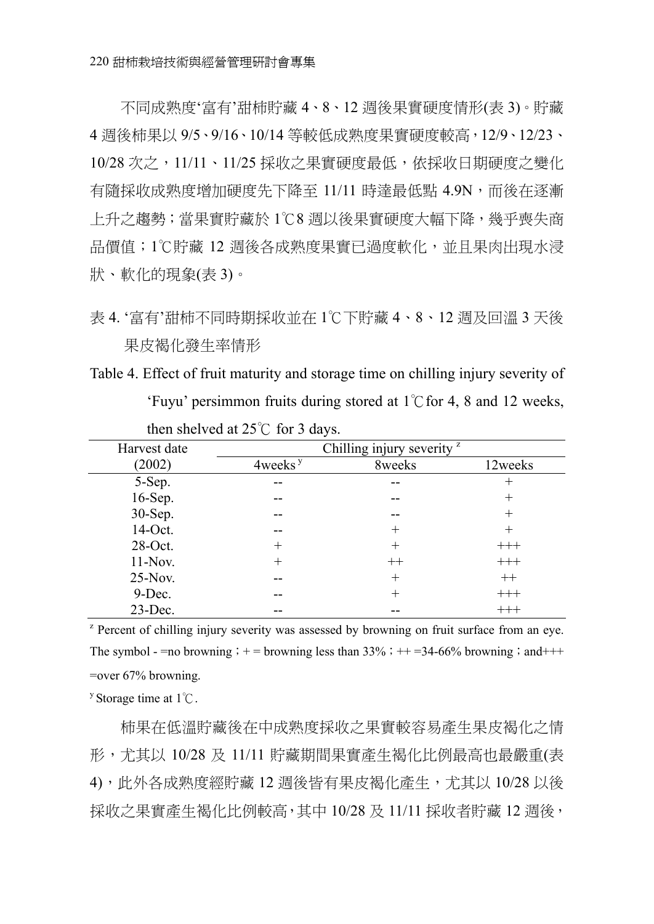不同成熟度'富㈲'甜柿貯藏 4、8、12 週後果實硬度情形(表 3)。貯藏 4 週後柿果以 9/5、9/16、10/14 等較低成熟度果實硬度較高,12/9、12/23、 10/28 次之,11/11、11/25 採收之果實硬度最低,依採收日期硬度之變化 有隨採收成熟度增加硬度先下降至 11/11 時達最低點 4.9N,而後在逐漸 上升之趨勢;當果實貯藏於 1℃8 週以後果實硬度大幅下降,幾乎喪失商 品價值;1℃貯藏 12 週後各成熟度果實已過度軟化,並且果肉出現水浸 狀、軟化的現象(表 3)。

Table 4. Effect of fruit maturity and storage time on chilling injury severity of 'Fuyu' persimmon fruits during stored at  $1^{\circ}$  for 4, 8 and 12 weeks,

| Harvest date |                     | Chilling injury severity <sup>z</sup> |          |
|--------------|---------------------|---------------------------------------|----------|
| (2002)       | 4weeks <sup>y</sup> | 8weeks                                | 12weeks  |
| 5-Sep.       |                     |                                       | $^+$     |
| 16-Sep.      |                     |                                       | $\,+\,$  |
| 30-Sep.      |                     | --                                    | $^+$     |
| 14-Oct.      | --                  | $^{+}$                                | $^+$     |
| 28-Oct.      | $^+$                | $^{+}$                                | $^{+++}$ |
| $11-Nov.$    | $^+$                | $^{++}$                               | $^{+++}$ |
| $25-Nov.$    |                     | $^{+}$                                | $++$     |
| 9-Dec.       |                     | $^{+}$                                | $+++$    |
| $23$ -Dec.   |                     |                                       | $^{+++}$ |

then shelved at  $25^{\circ}$  for 3 days.

<sup>z</sup> Percent of chilling injury severity was assessed by browning on fruit surface from an eye. The symbol - =no browning; + = browning less than  $33\%$ ; + + =34-66% browning; and+++ =over 67% browning.

<sup>y</sup> Storage time at  $1^\circ$ C.

柿果在低溫貯藏後在中成熟度採收之果實較容易產生果皮褐化之情 形,尤其以 10/28 及 11/11 貯藏期間果實產生褐化比例最高也最嚴重(表 4),此外各成熟度經貯藏 12 週後皆有果皮褐化產生,尤其以 10/28 以後 採收之果實產生褐化比例較高,其中 10/28 及 11/11 採收者貯藏 12 週後,

表 4. '富有'甜柿不同時期採收並在 1℃下貯藏 4、8、12 週及回溫 3 天後 果皮褐化發生率情形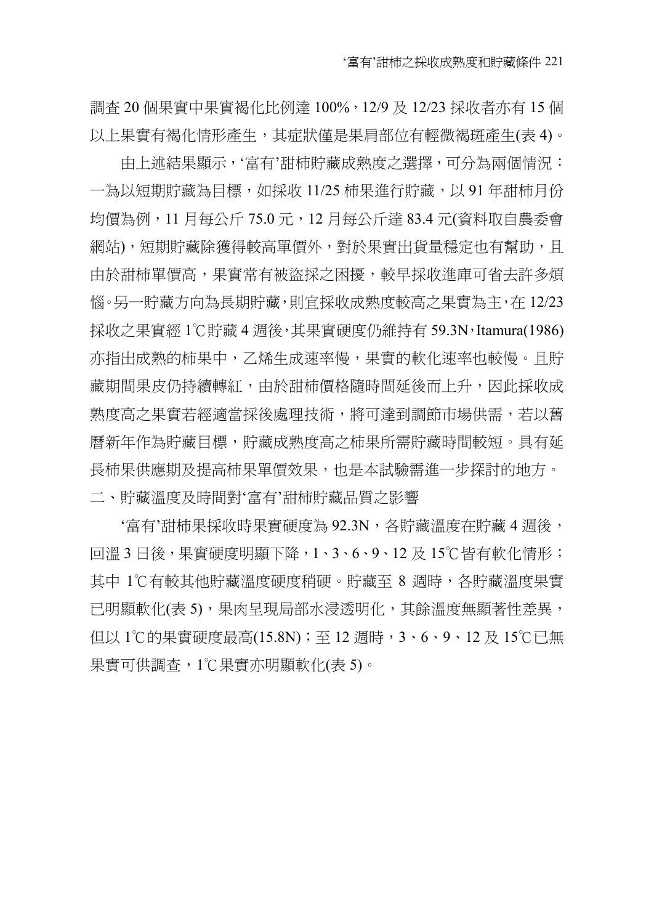調查 20 個果實中果實褐化比例達 100%, 12/9 及 12/23 採收者亦有 15 個 以上果實有褐化情形產生,其症狀僅是果肩部位有輕微褐斑產生(表 4)。

由上述結果顯示,'富有'甜柿貯藏成熟度之選擇,可分為兩個情況: 一為以短期貯藏為目標,如採收 11/25 柿果進行貯藏,以 91 年甜柿月份 均價為例,11 月每公斤 75.0 元,12 月每公斤達 83.4 元(資料取自農委會 網站),短期貯藏除獲得較高單價外,對於果實出貨量穩定也有幫助,且 由於甜柿單價高,果實常㈲被盜採之困擾,較早採收進庫可省去許多煩 惱。另㆒貯藏方向為長期貯藏,則宜採收成熟度較高之果實為主,在 12/23 採收之果實經 1℃貯藏 4 週後,其果實硬度仍維持有 59.3N,Itamura(1986) 亦指出成熟的柿果中,乙烯生成速率慢,果實的軟化速率也較慢。且貯 藏期間果皮仍持續轉紅,由於甜柿價格隨時間延後而上升,因此採收成 熟度高之果實若經適當採後處理技術,將可達到調節市場供需,若以舊 曆新年作為貯藏目標,貯藏成熟度高之柿果所需貯藏時間較短。具有延 長柿果供應期及提高柿果單價效果,也是本試驗需進一步探討的地方。 二、貯藏溫度及時間對'富有'甜柿貯藏品質之影響

'富有'甜柿果採收時果實硬度為 92.3N,各貯藏溫度在貯藏 4 週後, 回溫 3 日後,果實硬度明顯下降, 1、3、6、9、12 及 15℃皆有軟化情形; 其中 1℃有較其他貯藏溫度硬度稍硬。貯藏至 8 週時,各貯藏溫度果實 已明顯軟化(表 5),果肉呈現局部水浸透明化,其餘溫度無顯著性差異, 但以 1℃的果實硬度最高(15.8N); 至 12 週時,3、6、9、12 及 15℃已無 果實可供調查,1℃果實亦明顯軟化(表 5)。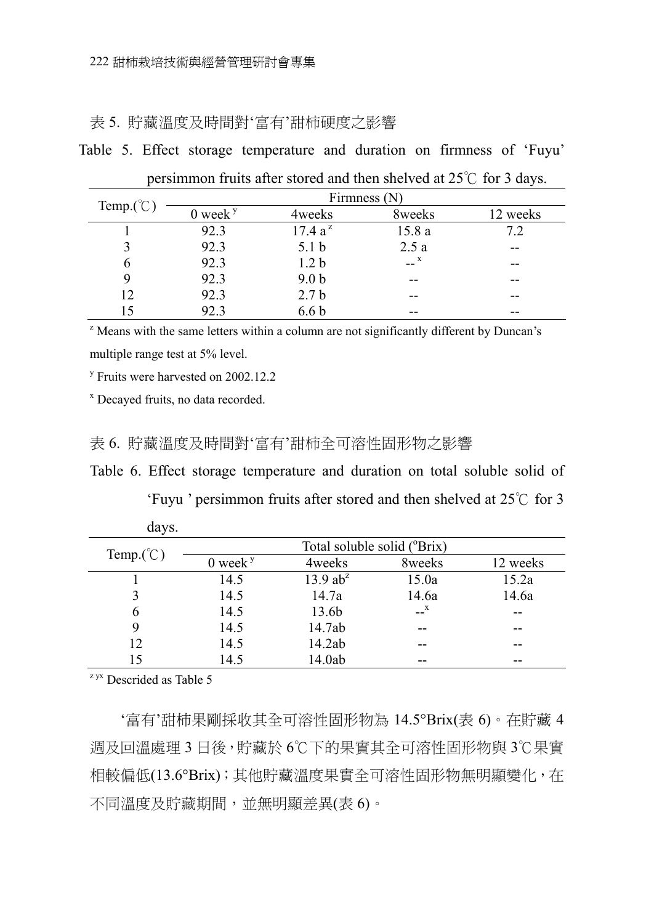表 5. 貯藏溫度及時間對'富有'甜柿硬度之影響

Table 5. Effect storage temperature and duration on firmness of 'Fuyu'

| Temp. $({}^{\circ}\mathbb{C})$ |              |                  | Firmness $(N)$   |          |
|--------------------------------|--------------|------------------|------------------|----------|
|                                | $0$ week $y$ | 4weeks           | 8weeks           | 12 weeks |
|                                | 92.3         | $17.4 a^z$       | 15.8a            | 7.2      |
|                                | 92.3         | 5.1 <sub>b</sub> | 2.5a             |          |
|                                | 92.3         | 1.2 <sub>b</sub> | $-$ <sup>x</sup> | --       |
|                                | 92.3         | 9.0 <sub>b</sub> | --               | --       |
| 12                             | 92.3         | 2.7 <sub>b</sub> |                  |          |
| ۱۲                             | 92.3         | 6.6 b            | --               | --       |

persimmon fruits after stored and then shelved at  $25^{\circ}$  for 3 days.

 $\alpha$ <sup>z</sup> Means with the same letters within a column are not significantly different by Duncan's multiple range test at 5% level.

<sup>y</sup> Fruits were harvested on 2002.12.2

x Decayed fruits, no data recorded.

#### 表 6. 貯藏溫度及時間對'富有'甜柿全可溶性固形物之影響

Table 6. Effect storage temperature and duration on total soluble solid of

'Fuyu ' persimmon fruits after stored and then shelved at  $25^{\circ}$  for 3

|                                |              | Total soluble solid ( <sup>o</sup> Brix) |                  |          |
|--------------------------------|--------------|------------------------------------------|------------------|----------|
| Temp. $({}^{\circ}\mathbb{C})$ | $0$ week $y$ | 4weeks                                   | 8weeks           | 12 weeks |
|                                | 14.5         | 13.9 $ab^z$                              | 15.0a            | 15.2a    |
|                                | 14.5         | 14.7a                                    | 14.6a            | 14.6a    |
|                                | 14.5         | 13.6b                                    | $-$ <sup>X</sup> | --       |
|                                | 14.5         | 14.7ab                                   | --               | --       |
| 12                             | 14.5         | 14.2ab                                   | --               | --       |
| 15                             | 14.5         | 14.0ab                                   | --               | --       |

days.

 $z$ <sup>yx</sup> Descrided as Table 5

'富有'甜柿果剛採收其全可溶性固形物為 14.5°Brix(表 6)。在貯藏 4 週及回溫處理 3 ㈰後,貯藏於 6℃㆘的果實其全可溶性固形物與 3℃果實 相較偏低(13.6°Brix);其他貯藏溫度果實全可溶性固形物無明顯變化,在 不同溫度及貯藏期間,並無明顯差異(表 6)。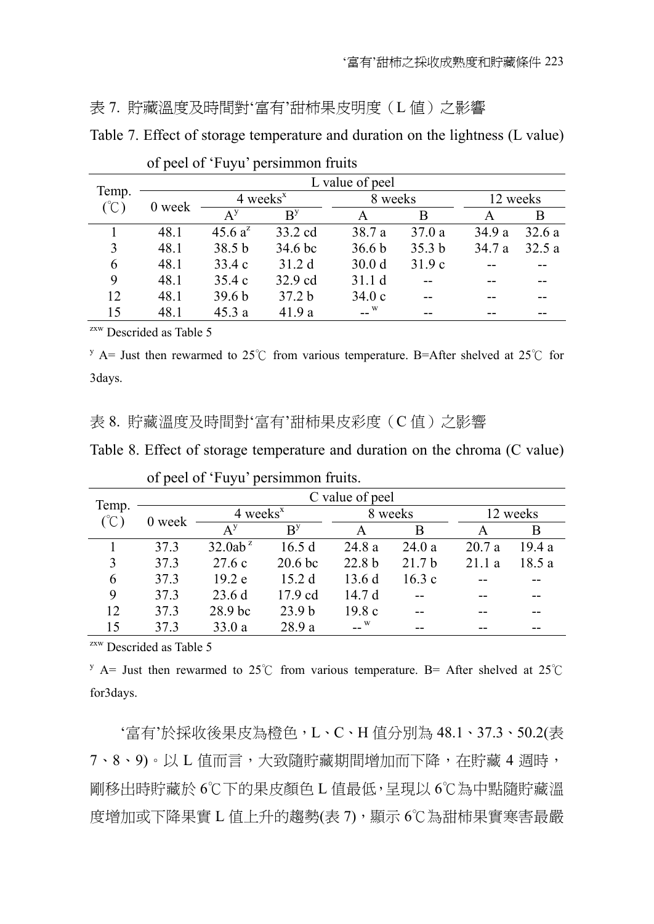#### 表 7. 貯藏溫度及時間對'富有'甜柿果皮明度(L 值)之影響

Table 7. Effect of storage temperature and duration on the lightness (L value)

|                                   |        |                        |                   | L value of peel   |                   |          |       |
|-----------------------------------|--------|------------------------|-------------------|-------------------|-------------------|----------|-------|
| Temp.<br>$({}^{\circ}\mathbb{C})$ | 0 week | $4$ weeks <sup>x</sup> |                   | 8 weeks           |                   | 12 weeks |       |
|                                   |        | $A^y$                  | $B^y$             | А                 | B                 |          | B     |
|                                   | 48.1   | 45.6 $a^2$             | 33.2 cd           | 38.7 a            | 37.0a             | 34.9a    | 32.6a |
| 3                                 | 48.1   | 38.5 <sub>b</sub>      | 34.6 bc           | 36.6 <sub>b</sub> | 35.3 <sub>b</sub> | 34.7 a   | 32.5a |
| 6                                 | 48.1   | 33.4 c                 | 31.2d             | 30.0 <sub>d</sub> | 31.9c             |          |       |
| 9                                 | 48.1   | 35.4c                  | 32.9 cd           | 31.1d             |                   |          |       |
| 12                                | 48.1   | 39.6 <sub>b</sub>      | 37.2 <sub>b</sub> | 34.0c             |                   |          |       |
| 15                                | 48.1   | 45.3a                  | 41.9 a            | $\sim$ W          |                   |          |       |

of peel of 'Fuyu' persimmon fruits

zxw Descrided as Table 5

 $y$  A= Just then rewarmed to 25°C from various temperature. B=After shelved at 25°C for 3days.

#### 表 8. 貯藏溫度及時間對'富有'甜柿果皮彩度(C值)之影響

Table 8. Effect of storage temperature and duration on the chroma (C value)

|               |        |                           |                    | C value of peel   |                   |          |       |
|---------------|--------|---------------------------|--------------------|-------------------|-------------------|----------|-------|
| Temp.<br>(°C) | 0 week | $4$ weeks <sup>x</sup>    |                    |                   | 8 weeks           | 12 weeks |       |
|               |        | $\mathbf{A}^{\mathrm{y}}$ | B <sup>y</sup>     |                   | B                 |          | B     |
|               | 373    | $32.0ab^z$                | 16.5d              | 24.8 a            | 24.0a             | 20.7a    | 19.4a |
| 3             | 37.3   | 27.6c                     | 20.6 <sub>bc</sub> | 22.8 <sub>b</sub> | 21.7 <sub>b</sub> | 211a     | 18.5a |
| 6             | 37.3   | 19.2 e                    | 15.2d              | 13.6d             | 16.3c             |          |       |
| 9             | 37.3   | 23.6d                     | 17.9 cd            | 14.7d             |                   |          |       |
| 12            | 37.3   | 28.9 bc                   | 23.9 <sub>b</sub>  | 19.8c             |                   |          |       |
| 15            | 37.3   | 33.0 a                    | 28.9 a             | W                 |                   |          |       |

of peel of 'Fuyu' persimmon fruits.

zxw Descrided as Table 5

y A= Just then rewarmed to 25°C from various temperature. B= After shelved at 25°C for3days.

'富㈲'於採收後果皮為橙色,L、C、H 值分別為 48.1、37.3、50.2(表 7、8、9)。以 L 值而言,大致隨貯藏期間增加而下降,在貯藏 4 週時, 剛移出時貯藏於 6℃㆘的果皮顏色 L 值最低,呈現以 6℃為㆗點隨貯藏溫 度增加或㆘降果實 L 值㆖升的趨勢(表 7),顯示 6℃為甜柿果實寒害最嚴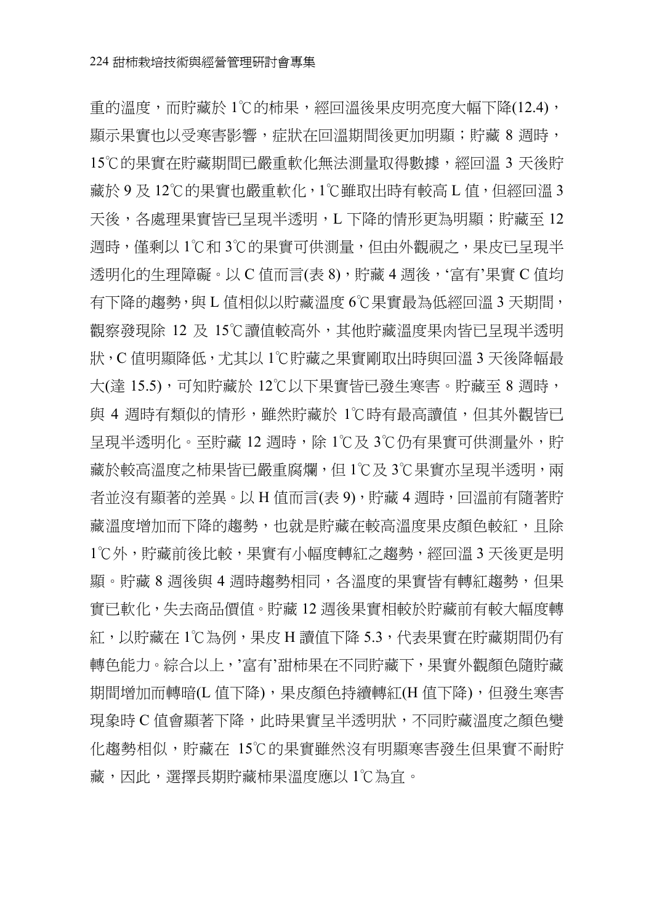重的溫度,而貯藏於 1℃的柿果,經回溫後果皮明亮度大幅下降(12.4), 顯示果實也以受寒害影響,症狀在回溫期間後更加明顯;貯藏 8 週時, 15℃的果實在貯藏期間已嚴重軟化無法測量取得數據,經回溫 3 天後貯 藏於 9 及 12℃的果實也嚴重軟化,1℃雖取出時㈲較高 L 值,但經回溫 3 天後,各處理果實皆已呈現半透明,L 下降的情形更為明顯;貯藏至 12 週時,僅剩以 1℃和 3℃的果實可供測量,但由外觀視之,果皮已呈現半 透明化的生理障礙。以 C 值而言(表 8),貯藏 4 週後,'富有'果實 C 值均 有下降的趨勢,與 L 值相似以貯藏溫度 6℃果實最為低經回溫 3 天期間, 觀察發現除 12 及 15℃讀值較高外,其他貯藏溫度果肉皆已呈現半透明 狀, C 值明顯降低, 尤其以 1℃貯藏之果實剛取出時與回溫 3 天後降幅最 大(達 15.5),可知貯藏於 12℃以下果實皆已發生寒害。貯藏至 8 週時, 與 4 週時有類似的情形,雖然貯藏於 1℃時有最高讀值,但其外觀皆已 呈現半透明化。至貯藏 12 週時,除 1℃及 3℃仍有果實可供測量外,貯 藏於較高溫度之柿果皆已嚴重腐爛,但 1℃及 3℃果實亦呈現半透明, 兩 者並沒有顯著的差異。以 H 值而言(表 9),貯藏 4 週時,回溫前有隨著貯 藏溫度增加而下降的趨勢,也就是貯藏在較高溫度果皮顏色較紅,且除 1℃外,貯藏前後比較,果實有小幅度轉紅之趨勢,經回溫 3 天後更是明 顯。貯藏 8 週後與 4 週時趨勢相同,各溫度的果實皆有轉紅趨勢,但果 實已軟化,失去商品價值。貯藏 12 週後果實相較於貯藏前有較大幅度轉 紅,以貯藏在 1℃為例,果皮 H 讀值下降 5.3,代表果實在貯藏期間仍有 轉色能力。綜合以上,'富有'甜柿果在不同貯藏下,果實外觀顏色隨貯藏 期間增加而轉暗(L 值㆘降),果皮顏色持續轉紅(H 值㆘降),但發生寒害 現象時 C 值會顯著㆘降,此時果實呈半透明狀,不同貯藏溫度之顏色變 化趨勢相似,貯藏在 15℃的果實雖然沒有明顯寒害發生但果實不耐貯 藏,因此,選擇長期貯藏柿果溫度應以 1℃為宜。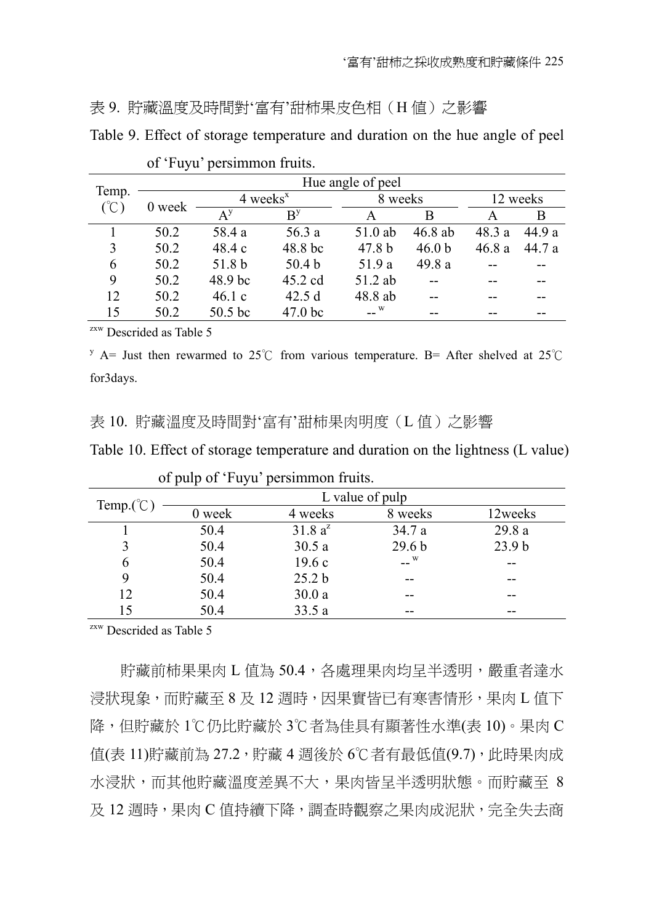#### 表 9. 貯藏溫度及時間對'富有'甜柿果皮色相(H 值)之影響

Table 9. Effect of storage temperature and duration on the hue angle of peel

|               |        |                        |                   | Hue angle of peel |                   |          |        |
|---------------|--------|------------------------|-------------------|-------------------|-------------------|----------|--------|
| Temp.<br>(°C` | 0 week | $4$ weeks <sup>x</sup> |                   | 8 weeks           |                   | 12 weeks |        |
|               |        | $A^y$                  | B <sup>y</sup>    | А                 | В                 |          | В      |
|               | 50.2   | 58.4 a                 | 56.3 a            | 51.0 ab           | 46.8 ab           | 48.3 a   | 44 9 a |
| 3             | 50.2   | 48.4c                  | 48.8 bc           | 47.8 <sub>b</sub> | 46.0 <sub>b</sub> | 46.8a    | 44.7 a |
| 6             | 50.2   | 51.8 b                 | 50.4 <sub>b</sub> | 51.9 a            | 49.8 a            |          |        |
| 9             | 50.2   | 48.9 bc                | $45.2$ cd         | 51.2 ab           |                   |          |        |
| 12            | 50.2   | 46.1c                  | 42.5d             | 48.8 ab           |                   |          |        |
| 15            | 50.2   | 50.5 bc                | $47.0$ bc         | W                 | --                |          |        |

of 'Fuyu' persimmon fruits.

zxw Descrided as Table 5

y A= Just then rewarmed to 25°C from various temperature. B= After shelved at 25°C for3days.

#### 表 10. 貯藏溫度及時間對'富有'甜柿果肉明度(L值)之影響

| Table 10. Effect of storage temperature and duration on the lightness (L value) |  |  |
|---------------------------------------------------------------------------------|--|--|
|                                                                                 |  |  |

| Temp. $({}^{\circ}\mathbb{C})$ | L value of pulp |                   |                   |                   |  |  |  |  |
|--------------------------------|-----------------|-------------------|-------------------|-------------------|--|--|--|--|
|                                | 0 week          | 4 weeks           | 8 weeks           | 12weeks           |  |  |  |  |
|                                | 50.4            | $31.8 a^2$        | 34.7 a            | 29.8 a            |  |  |  |  |
|                                | 50.4            | 30.5a             | 29.6 <sub>b</sub> | 23.9 <sub>b</sub> |  |  |  |  |
| 6                              | 50.4            | 19.6c             | $ \sim$           | --                |  |  |  |  |
|                                | 50.4            | 25.2 <sub>b</sub> | --                | --                |  |  |  |  |
| 12                             | 50.4            | 30.0a             | --                | --                |  |  |  |  |
| 15                             | 50.4            | 33.5a             | --                | --                |  |  |  |  |

|  |  | of pulp of 'Fuyu' persimmon fruits. |  |
|--|--|-------------------------------------|--|
|  |  |                                     |  |

zxw Descrided as Table 5

貯藏前柿果果肉 L 值為 50.4,各處理果肉均早半透明,嚴重者達水 浸狀現象,而貯藏至 8 及 12 週時,因果實皆已有寒害情形,果肉 L 值下 降,但貯藏於 1℃仍比貯藏於 3℃者為佳具有顯著性水準(表 10)。果肉 C 值(表 11)貯藏前為 27.2,貯藏 4 週後於 6℃者有最低值(9.7), 此時果肉成 水浸狀,而其他貯藏溫度差異不大,果肉皆呈半透明狀態。而貯藏至 8 及 12 週時,果肉 C 值持續下降,調查時觀察之果肉成泥狀,完全失去商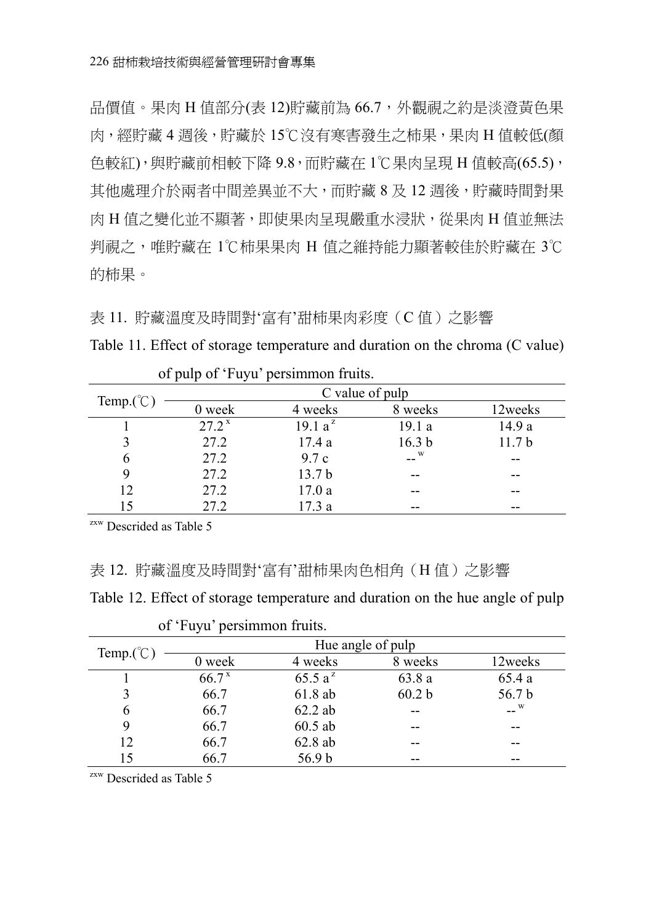品價值。果肉 H 值部分(表 12)貯藏前為 66.7,外觀視之約是淡澄黃色果 肉,經貯藏 4 週後,貯藏於 15℃沒有寒害發生之柿果,果肉 H 值較低(顏 色較紅),與貯藏前相較下降 9.8,而貯藏在 1℃果肉呈現 H 值較高(65.5), 其他處理介於兩者中間差異並不大,而貯藏 8 及 12 週後,貯藏時間對果 肉 H 值之變化並不顯著, 即使果肉呈現嚴重水浸狀, 從果肉 H 值並無法 判視之,唯貯藏在 1℃柿果果肉 H 值之維持能力顯著較佳於貯藏在 3℃ 的柿果。

表 11. 貯藏溫度及時間對'富有'甜柿果肉彩度(C值)之影響

Table 11. Effect of storage temperature and duration on the chroma (C value)

|                                | - 10<br>┙           |                     |                   |                   |  |  |  |  |
|--------------------------------|---------------------|---------------------|-------------------|-------------------|--|--|--|--|
|                                | C value of pulp     |                     |                   |                   |  |  |  |  |
| Temp. $({}^{\circ}\mathbb{C})$ | 0 week              | 4 weeks             | 8 weeks           | 12weeks           |  |  |  |  |
|                                | $27.2^{\mathrm{x}}$ | 19.1 a <sup>z</sup> | 19.1a             | 14.9 a            |  |  |  |  |
|                                | 27.2                | 17.4a               | 16.3 <sub>b</sub> | 11.7 <sub>b</sub> |  |  |  |  |
| 6                              | 27.2                | 9.7c                | <b>W</b>          |                   |  |  |  |  |
|                                | 27.2                | 13.7 <sub>b</sub>   | --                | --                |  |  |  |  |
| 12                             | 27.2                | 17.0a               | --                | --                |  |  |  |  |
| 15                             | 27.2                | 17.3 a              | --                |                   |  |  |  |  |

of pulp of 'Fuyu' persimmon fruits.

zxw Descrided as Table 5

#### 表 12. 貯藏溫度及時間對'富有'甜柿果肉色相角(H 值)之影響

Table 12. Effect of storage temperature and duration on the hue angle of pulp

| Temp. $({}^{\circ}\mathbb{C})$ | Hue angle of pulp |            |                   |         |  |  |  |
|--------------------------------|-------------------|------------|-------------------|---------|--|--|--|
|                                | 0 week            | 4 weeks    | 8 weeks           | 12weeks |  |  |  |
|                                | 66.7 <sup>x</sup> | 65.5 $a^z$ | 63.8 a            | 65.4a   |  |  |  |
|                                | 66.7              | 61.8 ab    | 60.2 <sub>b</sub> | 56.7 b  |  |  |  |
| 6                              | 66.7              | $62.2$ ab  |                   | $-$ W   |  |  |  |
|                                | 66.7              | $60.5$ ab  |                   | --      |  |  |  |
| 12                             | 66.7              | 62.8 ab    |                   |         |  |  |  |
| 15                             | 66.7              | 56.9 b     | --                | --      |  |  |  |

of 'Fuyu' persimmon fruits.

zxw Descrided as Table 5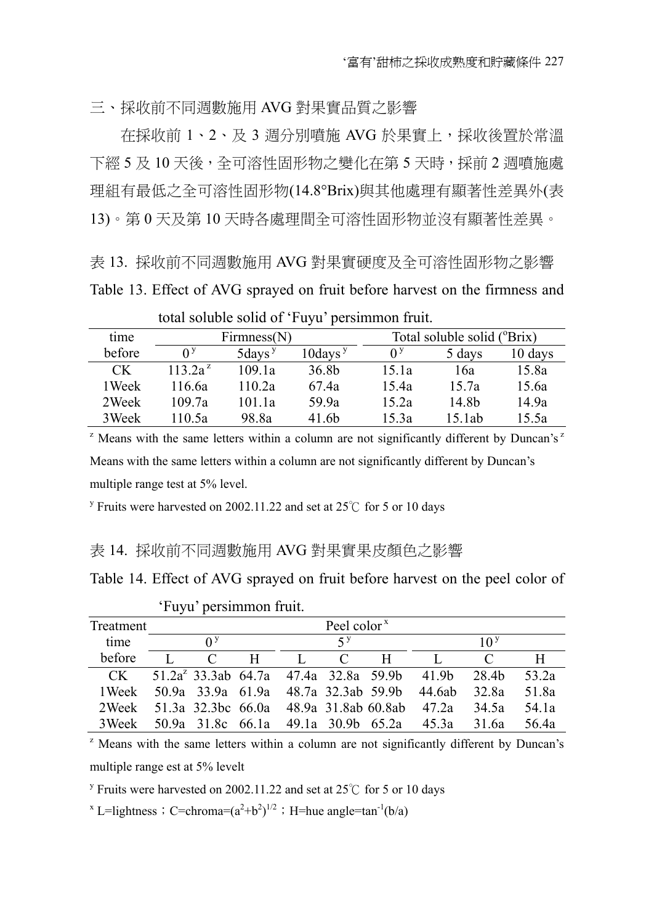三、採收前不同週數施用 AVG 對果實品質之影響

在採收前 1、2、及 3 週分別噴施 AVG 於果實㆖,採收後置於常溫 下經 5 及 10 天後,全可溶性固形物之變化在第 5 天時,採前 2 週噴施處 理組有最低之全可溶性固形物(14.8°Brix)與其他處理有顯著性差異外(表 13)。第 0 天及第 10 天時各處理間全可溶性固形物並沒有顯著性差異。

表 13. 採收前不同週數施用 AVG 對果實硬度及全可溶性固形物之影響 Table 13. Effect of AVG sprayed on fruit before harvest on the firmness and

total soluble solid of 'Fuyu' persimmon fruit.

| time   | Firmness(N)    |              |                        | Total soluble solid ( <sup>o</sup> Brix) |        |         |  |  |
|--------|----------------|--------------|------------------------|------------------------------------------|--------|---------|--|--|
| before | 0 <sup>2</sup> | $5$ days $y$ | $10$ days <sup>y</sup> | 0 <sup>2</sup>                           | 5 days | 10 days |  |  |
| CK.    | $113.2a^z$     | 109.1a       | 36.8b                  | 15.1a                                    | 16a    | 15.8a   |  |  |
| 1 Week | 116.6a         | 110.2a       | 67.4a                  | 15.4a                                    | 15.7a  | 15.6a   |  |  |
| 2Week  | 109.7a         | 101.1a       | 59.9a                  | 15.2a                                    | 14.8b  | 14.9a   |  |  |
| 3Week  | 110.5a         | 98.8a        | 41.6b                  | 15.3a                                    | 15.1ab | 15.5a   |  |  |

<sup>z</sup> Means with the same letters within a column are not significantly different by Duncan's<sup> $z$ </sup> Means with the same letters within a column are not significantly different by Duncan's multiple range test at 5% level.

<sup>y</sup> Fruits were harvested on 2002.11.22 and set at 25°C for 5 or 10 days

#### 表 14. 採收前不同週數施用 AVG 對果實果皮顏色之影響

Table 14. Effect of AVG sprayed on fruit before harvest on the peel color of

| Treatment | Peel color <sup>x</sup> |   |                |             |                                      |                                                |                 |       |
|-----------|-------------------------|---|----------------|-------------|--------------------------------------|------------------------------------------------|-----------------|-------|
| time      | Λ <sup>y</sup>          |   |                | $5^{\circ}$ |                                      |                                                | 10 <sup>y</sup> |       |
| before    | $\mathcal{C}$           | H | $\blacksquare$ | $\Gamma$    | H                                    |                                                |                 | H     |
| CK.       |                         |   |                |             |                                      | $51.2a^2$ 33.3ab 64.7a 47.4a 32.8a 59.9b 41.9b | 28.4b           | 53 2a |
| 1 Week    |                         |   |                |             | 50.9a 33.9a 61.9a 48.7a 32.3ab 59.9b | 44 6ab                                         | 32 8a           | 51 8a |
| 2 Week    |                         |   |                |             |                                      | 51.3a 32.3bc 66.0a 48.9a 31.8ab 60.8ab 47.2a   | 34 5a           | 54 la |
| 3 Week    |                         |   |                |             | 50.9a 31.8c 66.1a 49.1a 30.9b 65.2a  | 45.3a                                          | - 31 6a         | 56 4a |

#### 'Fuyu' persimmon fruit.

<sup>z</sup> Means with the same letters within a column are not significantly different by Duncan's multiple range est at 5% levelt

<sup>y</sup> Fruits were harvested on 2002.11.22 and set at 25°C for 5 or 10 days

<sup>x</sup> L=lightness : C=chroma= $(a^2+b^2)^{1/2}$  : H=hue angle=tan<sup>-1</sup>(b/a)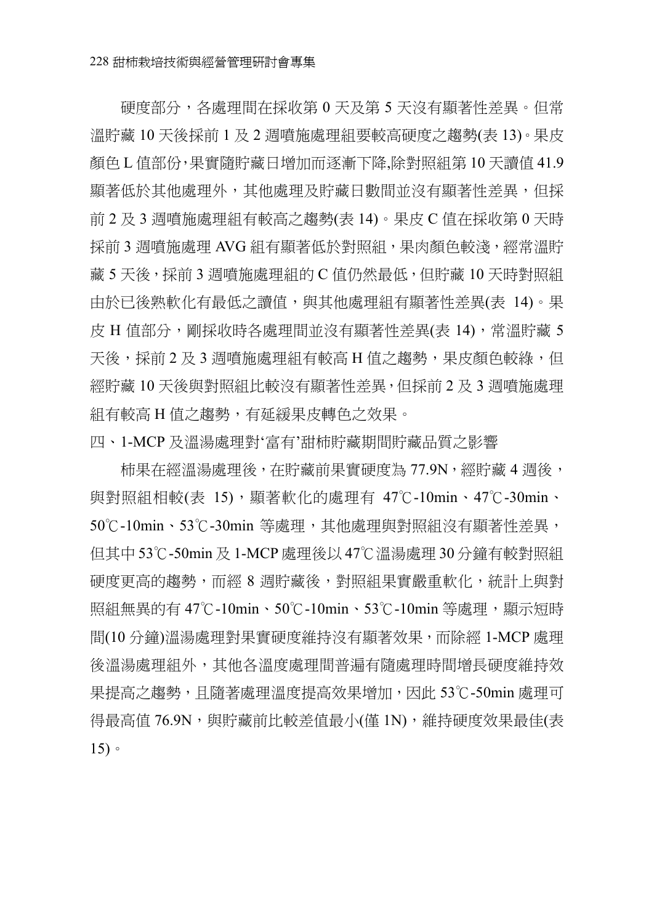硬度部分,各處理間在採收第 0 天及第 5 天沒有顯著性差異。但常 溫貯藏 10 天後採前 1 及 2 週噴施處理組要較高硬度之趨勢(表 13)。果皮 顏色 L 值部份,果實隨貯藏日增加而逐漸下降,除對照組第 10 天讀值 41.9 顯著低於其他處理外,其他處理及貯藏日數間並沒有顯著性差異,但採 前 2 及 3 週噴施處理組有較高之趨勢(表 14)。果皮 C 值在採收第 0 天時 採前 3 週噴施處理 AVG 組有顯著低於對照組,果肉顏色較淺,經常溫貯 藏 5 天後,採前 3 週噴施處理組的 C 值仍然最低,但貯藏 10 天時對照組 由於已後熟軟化有最低之讀值,與其他處理組有顯著性差異(表 14)。果 皮 H 值部分,剛採收時各處理間並沒有顯著性差異(表 14),常溫貯藏 5 天後,採前 2 及 3 週噴施處理組有較高 H 值之趨勢,果皮顏色較綠, 但 經貯藏 10 天後與對照組比較沒有顯著性差異,但採前 2 及 3 週噴施處理 組有較高 H 值之趨勢,有延緩果皮轉色之效果。

四、1-MCP 及溫湯處理對'富有'甜柿貯藏期間貯藏品質之影響

柿果在經溫湯處理後,在貯藏前果實硬度為 77.9N,經貯藏 4 週後, 與對照組相較(表 15),顯著軟化的處理有 47℃-10min、47℃-30min、 50℃-10min、53℃-30min 等處理,其他處理與對照組沒有顯著性差異, 但其中 53℃-50min 及 1-MCP 處理後以 47℃溫湯處理 30 分鐘有較對照組 硬度更高的趨勢,而經 8 週貯藏後,對照組果實嚴重軟化,統計上與對 照組無異的㈲ 47℃-10min、50℃-10min、53℃-10min 等處理,顯示短時 間(10 分鐘)溫湯處理對果實硬度維持沒有顯著效果,而除經 1-MCP 處理 後溫湯處理組外,其他各溫度處理間普遍有隨處理時間增長硬度維持效 果提高之趨勢,且隨著處理溫度提高效果增加,因此 53℃-50min 處理可 得最高值 76.9N,與貯藏前比較差值最小(僅 1N),維持硬度效果最佳(表 15)。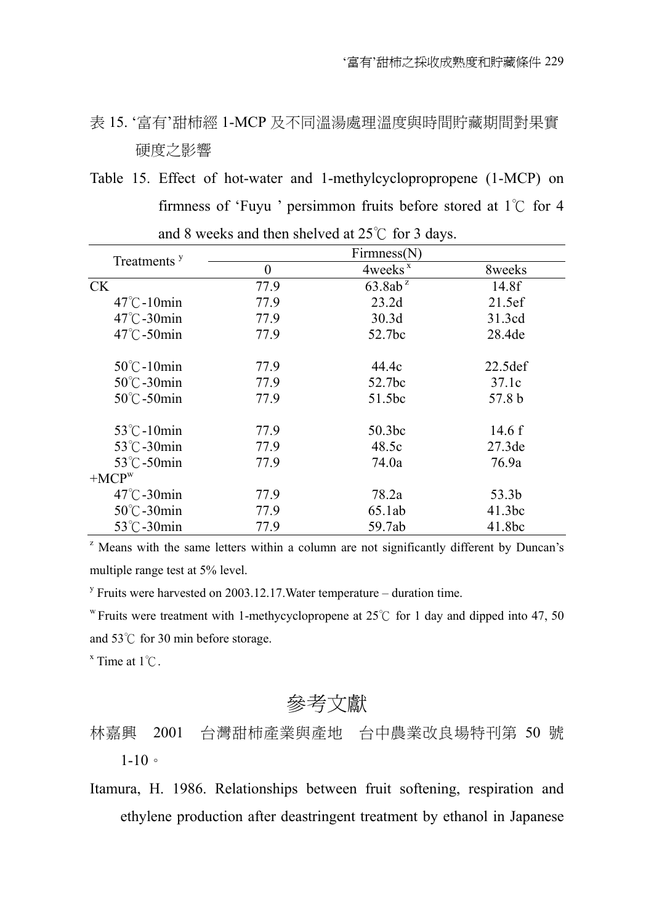## 表 15. '富有'甜柿經 1-MCP 及不同溫湯處理溫度與時間貯藏期間對果實 硬度之影響

Table 15. Effect of hot-water and 1-methylcyclopropropene (1-MCP) on firmness of 'Fuyu ' persimmon fruits before stored at  $1^{\circ}$ C for 4 and 8 weeks and then shelved at  $25^{\circ}$  for 3 days.

| Treatments <sup>y</sup>         | Firmness(N)      |                     |          |  |  |  |
|---------------------------------|------------------|---------------------|----------|--|--|--|
|                                 | $\boldsymbol{0}$ | $4$ weeks $^x$      | 8weeks   |  |  |  |
| CK.                             | 77.9             | 63.8ab <sup>z</sup> | 14.8f    |  |  |  |
| $47^{\circ}$ C -10min           | 77.9             | 23.2d               | 21.5ef   |  |  |  |
| $47^{\circ}$ C -30 $\text{min}$ | 77.9             | 30.3d               | 31.3cd   |  |  |  |
| $47^{\circ}$ C-50 $\text{min}$  | 77.9             | 52.7bc              | 28.4de   |  |  |  |
| $50^{\circ}$ C -10min           | 77.9             | 44.4c               | 22.5def  |  |  |  |
| $50^{\circ}$ C-30min            | 77.9             | 52.7bc              | 37.1c    |  |  |  |
| $50^{\circ}$ C-50min            | 77.9             | 51.5bc              | 57.8 b   |  |  |  |
| 53°C-10min                      | 77.9             | 50.3 <sub>bc</sub>  | 14.6 $f$ |  |  |  |
| 53°C-30min                      | 77.9             | 48.5c               | 27.3de   |  |  |  |
| 53°C-50min                      | 77.9             | 74.0a               | 76.9a    |  |  |  |
| $+MCPw$                         |                  |                     |          |  |  |  |
| $47^{\circ}$ C -30 $\text{min}$ | 77.9             | 78.2a               | 53.3b    |  |  |  |
| $50^{\circ}$ C -30 $\text{min}$ | 77.9             | 65.1ab              | 41.3bc   |  |  |  |
| 53°C-30min                      | 77.9             | 59.7ab              | 41.8bc   |  |  |  |

<sup>z</sup> Means with the same letters within a column are not significantly different by Duncan's multiple range test at 5% level.

<sup>y</sup> Fruits were harvested on 2003.12.17. Water temperature – duration time.

w Fruits were treatment with 1-methycyclopropene at 25 $\degree$ C for 1 day and dipped into 47, 50 and  $53^{\circ}$ C for 30 min before storage.

 $x$  Time at  $1^\circ \text{C}$ .

參考文獻

## 林嘉興 2001 台灣甜柿產業與產地 台中農業改良場特刊第 50 號  $1 - 10$

Itamura, H. 1986. Relationships between fruit softening, respiration and ethylene production after deastringent treatment by ethanol in Japanese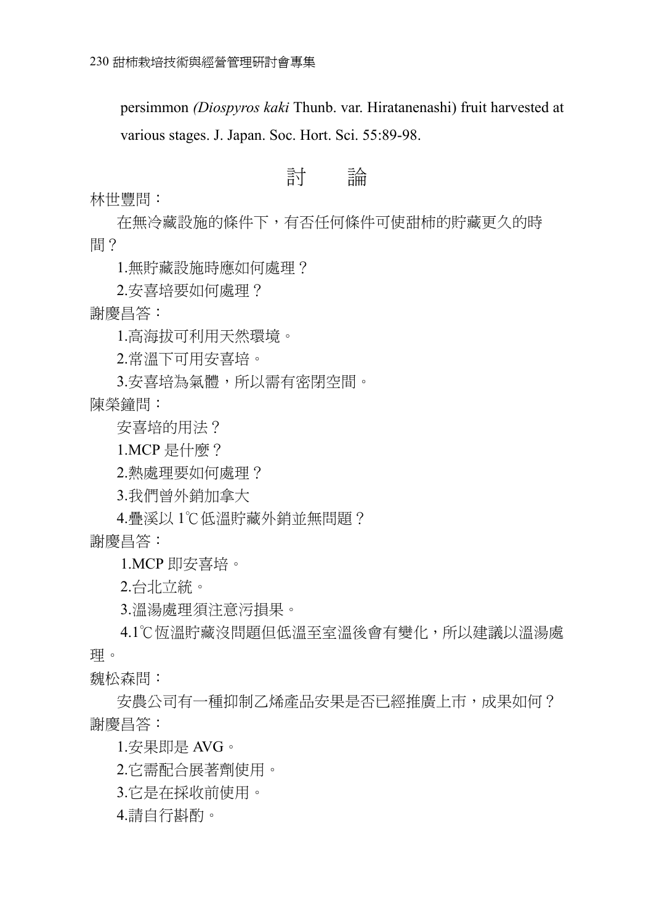persimmon *(Diospyros kaki* Thunb. var. Hiratanenashi) fruit harvested at various stages. J. Japan. Soc. Hort. Sci. 55:89-98.

## 討 論

林世豐問:

在無冷藏設施的條件下,有否任何條件可使甜柿的貯藏更久的時 間?

1.無貯藏設施時應如何處理?

2.安喜培要如何處理?

謝慶昌答:

1.高海拔可利用天然環境。

2.常溫下可用安喜培。

3.安喜培為氣體,所以需有密閉空間。

陳榮鐘問:

安喜培的用法?

1.MCP 是什麼?

2.熱處理要如何處理?

3.我們曾外銷加拿大

4.疊溪以 1℃低溫貯藏外銷並無問題? 謝慶昌答:

1.MCP 即安喜培。

2.台北立統。

3.溫湯處理須注意污損果。

4.1℃恆溫貯藏沒問題但低溫至室溫後會有變化,所以建議以溫湯處 理。

魏松森問:

安農公司有一種抑制乙烯產品安果是否已經推廣上市,成果如何? 謝慶昌答:

1.安果即是 AVG。

2.它需配合展著劑使用。

3.它是在採收前使用。

4.請自行斟酌。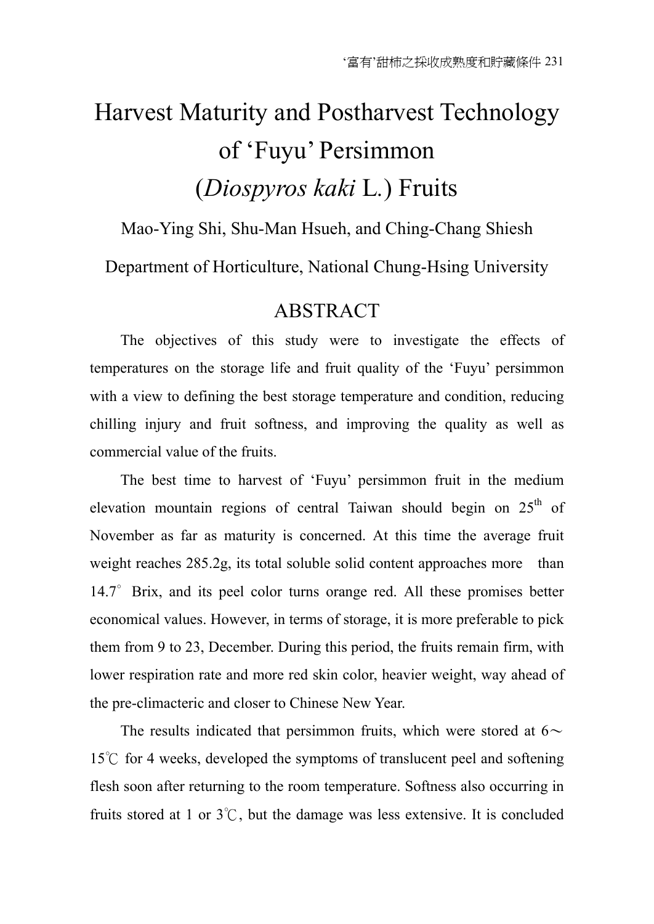# Harvest Maturity and Postharvest Technology of 'Fuyu' Persimmon (*Diospyros kaki* L*.*) Fruits

# Mao-Ying Shi, Shu-Man Hsueh, and Ching-Chang Shiesh Department of Horticulture, National Chung-Hsing University

## **ABSTRACT**

The objectives of this study were to investigate the effects of temperatures on the storage life and fruit quality of the 'Fuyu' persimmon with a view to defining the best storage temperature and condition, reducing chilling injury and fruit softness, and improving the quality as well as commercial value of the fruits.

The best time to harvest of 'Fuyu' persimmon fruit in the medium elevation mountain regions of central Taiwan should begin on  $25<sup>th</sup>$  of November as far as maturity is concerned. At this time the average fruit weight reaches 285.2g, its total soluble solid content approaches more than 14.7° Brix, and its peel color turns orange red. All these promises better economical values. However, in terms of storage, it is more preferable to pick them from 9 to 23, December. During this period, the fruits remain firm, with lower respiration rate and more red skin color, heavier weight, way ahead of the pre-climacteric and closer to Chinese New Year.

The results indicated that persimmon fruits, which were stored at  $6\sim$  $15^{\circ}$  for 4 weeks, developed the symptoms of translucent peel and softening flesh soon after returning to the room temperature. Softness also occurring in fruits stored at 1 or  $3^\circ\text{C}$ , but the damage was less extensive. It is concluded